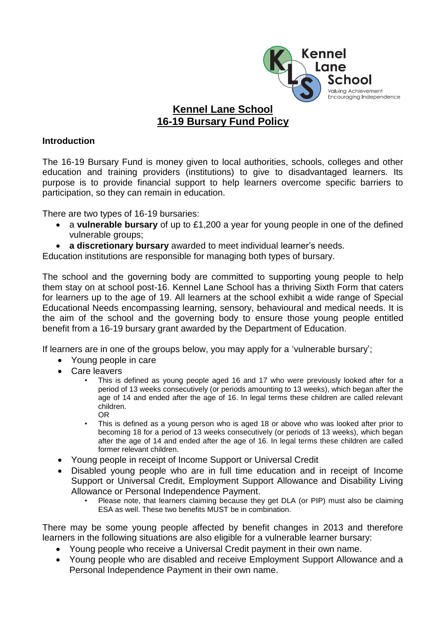

## **Kennel Lane School 16-19 Bursary Fund Policy**

## **Introduction**

The 16-19 Bursary Fund is money given to local authorities, schools, colleges and other education and training providers (institutions) to give to disadvantaged learners. Its purpose is to provide financial support to help learners overcome specific barriers to participation, so they can remain in education.

There are two types of 16-19 bursaries:

- a **vulnerable bursary** of up to £1,200 a year for young people in one of the defined vulnerable groups:
- **a discretionary bursary** awarded to meet individual learner's needs.

Education institutions are responsible for managing both types of bursary.

The school and the governing body are committed to supporting young people to help them stay on at school post-16. Kennel Lane School has a thriving Sixth Form that caters for learners up to the age of 19. All learners at the school exhibit a wide range of Special Educational Needs encompassing learning, sensory, behavioural and medical needs. It is the aim of the school and the governing body to ensure those young people entitled benefit from a 16-19 bursary grant awarded by the Department of Education.

If learners are in one of the groups below, you may apply for a 'vulnerable bursary';

- Young people in care
- Care leavers
	- This is defined as young people aged 16 and 17 who were previously looked after for a period of 13 weeks consecutively (or periods amounting to 13 weeks), which began after the age of 14 and ended after the age of 16. In legal terms these children are called relevant children. OR
	- This is defined as a young person who is aged 18 or above who was looked after prior to becoming 18 for a period of 13 weeks consecutively (or periods of 13 weeks), which began after the age of 14 and ended after the age of 16. In legal terms these children are called former relevant children.
- Young people in receipt of Income Support or Universal Credit
- Disabled young people who are in full time education and in receipt of Income Support or Universal Credit, Employment Support Allowance and Disability Living Allowance or Personal Independence Payment.
	- Please note, that learners claiming because they get DLA (or PIP) must also be claiming ESA as well. These two benefits MUST be in combination.

There may be some young people affected by benefit changes in 2013 and therefore learners in the following situations are also eligible for a vulnerable learner bursary:

- Young people who receive a Universal Credit payment in their own name.
- Young people who are disabled and receive Employment Support Allowance and a Personal Independence Payment in their own name.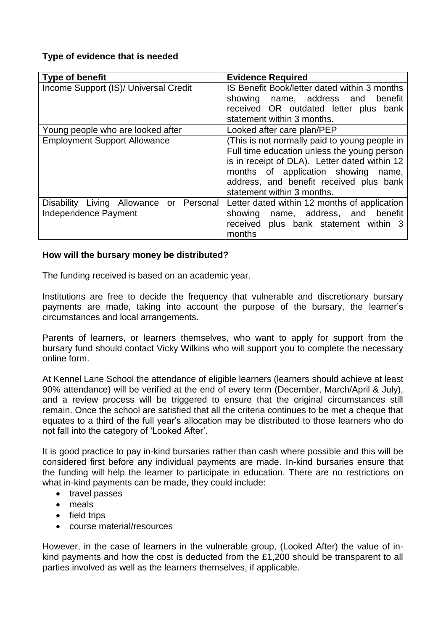## **Type of evidence that is needed**

| <b>Type of benefit</b>                                                 | <b>Evidence Required</b>                                                                                                                                                                                                                                         |
|------------------------------------------------------------------------|------------------------------------------------------------------------------------------------------------------------------------------------------------------------------------------------------------------------------------------------------------------|
| Income Support (IS)/ Universal Credit                                  | IS Benefit Book/letter dated within 3 months<br>name, address and benefit<br>showing<br>received OR outdated letter plus bank<br>statement within 3 months.                                                                                                      |
| Young people who are looked after                                      | Looked after care plan/PEP                                                                                                                                                                                                                                       |
| <b>Employment Support Allowance</b>                                    | (This is not normally paid to young people in<br>Full time education unless the young person<br>is in receipt of DLA). Letter dated within 12<br>months of application showing<br>name,<br>address, and benefit received plus bank<br>statement within 3 months. |
| Disability Living Allowance or Personal<br><b>Independence Payment</b> | Letter dated within 12 months of application<br>name, address, and benefit<br>showing<br>received plus bank statement within 3<br>months                                                                                                                         |

## **How will the bursary money be distributed?**

The funding received is based on an academic year.

Institutions are free to decide the frequency that vulnerable and discretionary bursary payments are made, taking into account the purpose of the bursary, the learner's circumstances and local arrangements.

Parents of learners, or learners themselves, who want to apply for support from the bursary fund should contact Vicky Wilkins who will support you to complete the necessary online form.

At Kennel Lane School the attendance of eligible learners (learners should achieve at least 90% attendance) will be verified at the end of every term (December, March/April & July), and a review process will be triggered to ensure that the original circumstances still remain. Once the school are satisfied that all the criteria continues to be met a cheque that equates to a third of the full year's allocation may be distributed to those learners who do not fall into the category of 'Looked After'.

It is good practice to pay in-kind bursaries rather than cash where possible and this will be considered first before any individual payments are made. In-kind bursaries ensure that the funding will help the learner to participate in education. There are no restrictions on what in-kind payments can be made, they could include:

- travel passes
- meals
- field trips
- course material/resources

However, in the case of learners in the vulnerable group, (Looked After) the value of inkind payments and how the cost is deducted from the £1,200 should be transparent to all parties involved as well as the learners themselves, if applicable.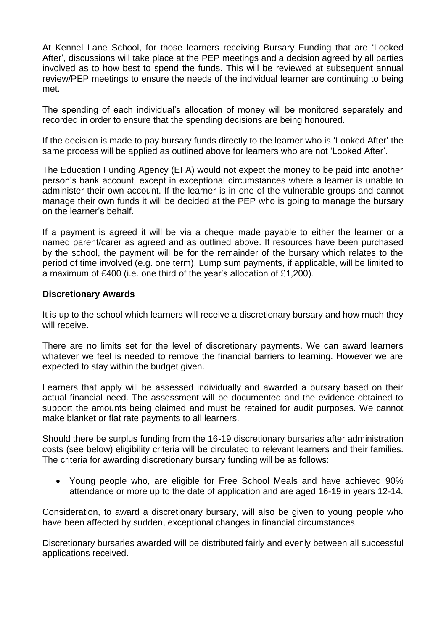At Kennel Lane School, for those learners receiving Bursary Funding that are 'Looked After', discussions will take place at the PEP meetings and a decision agreed by all parties involved as to how best to spend the funds. This will be reviewed at subsequent annual review/PEP meetings to ensure the needs of the individual learner are continuing to being met.

The spending of each individual's allocation of money will be monitored separately and recorded in order to ensure that the spending decisions are being honoured.

If the decision is made to pay bursary funds directly to the learner who is 'Looked After' the same process will be applied as outlined above for learners who are not 'Looked After'.

The Education Funding Agency (EFA) would not expect the money to be paid into another person's bank account, except in exceptional circumstances where a learner is unable to administer their own account. If the learner is in one of the vulnerable groups and cannot manage their own funds it will be decided at the PEP who is going to manage the bursary on the learner's behalf.

If a payment is agreed it will be via a cheque made payable to either the learner or a named parent/carer as agreed and as outlined above. If resources have been purchased by the school, the payment will be for the remainder of the bursary which relates to the period of time involved (e.g. one term). Lump sum payments, if applicable, will be limited to a maximum of £400 (i.e. one third of the year's allocation of £1,200).

## **Discretionary Awards**

It is up to the school which learners will receive a discretionary bursary and how much they will receive.

There are no limits set for the level of discretionary payments. We can award learners whatever we feel is needed to remove the financial barriers to learning. However we are expected to stay within the budget given.

Learners that apply will be assessed individually and awarded a bursary based on their actual financial need. The assessment will be documented and the evidence obtained to support the amounts being claimed and must be retained for audit purposes. We cannot make blanket or flat rate payments to all learners.

Should there be surplus funding from the 16-19 discretionary bursaries after administration costs (see below) eligibility criteria will be circulated to relevant learners and their families. The criteria for awarding discretionary bursary funding will be as follows:

 Young people who, are eligible for Free School Meals and have achieved 90% attendance or more up to the date of application and are aged 16-19 in years 12-14.

Consideration, to award a discretionary bursary, will also be given to young people who have been affected by sudden, exceptional changes in financial circumstances.

Discretionary bursaries awarded will be distributed fairly and evenly between all successful applications received.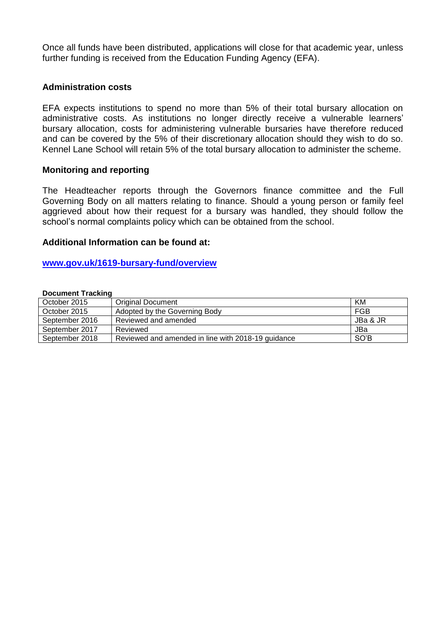Once all funds have been distributed, applications will close for that academic year, unless further funding is received from the Education Funding Agency (EFA).

### **Administration costs**

EFA expects institutions to spend no more than 5% of their total bursary allocation on administrative costs. As institutions no longer directly receive a vulnerable learners' bursary allocation, costs for administering vulnerable bursaries have therefore reduced and can be covered by the 5% of their discretionary allocation should they wish to do so. Kennel Lane School will retain 5% of the total bursary allocation to administer the scheme.

### **Monitoring and reporting**

The Headteacher reports through the Governors finance committee and the Full Governing Body on all matters relating to finance. Should a young person or family feel aggrieved about how their request for a bursary was handled, they should follow the school's normal complaints policy which can be obtained from the school.

#### **Additional Information can be found at:**

#### **[www.gov.uk/1619-bursary-fund/overview](http://www.gov.uk/1619-bursary-fund/overview)**

#### **Document Tracking**

| October 2015   | <b>Original Document</b>                           | KM       |
|----------------|----------------------------------------------------|----------|
| October 2015   | Adopted by the Governing Body                      | FGB      |
| September 2016 | Reviewed and amended                               | JBa & JR |
| September 2017 | Reviewed                                           | JBa      |
| September 2018 | Reviewed and amended in line with 2018-19 guidance | SO'B     |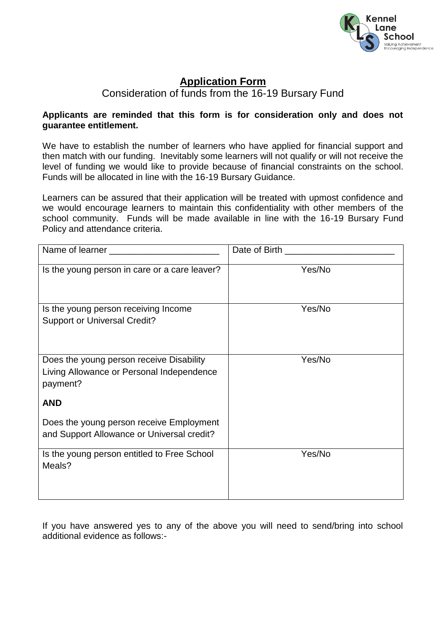

# **Application Form**

Consideration of funds from the 16-19 Bursary Fund

## **Applicants are reminded that this form is for consideration only and does not guarantee entitlement.**

We have to establish the number of learners who have applied for financial support and then match with our funding. Inevitably some learners will not qualify or will not receive the level of funding we would like to provide because of financial constraints on the school. Funds will be allocated in line with the 16-19 Bursary Guidance.

Learners can be assured that their application will be treated with upmost confidence and we would encourage learners to maintain this confidentiality with other members of the school community. Funds will be made available in line with the 16-19 Bursary Fund Policy and attendance criteria.

| Is the young person in care or a care leaver?                                                                   | Yes/No |
|-----------------------------------------------------------------------------------------------------------------|--------|
| Is the young person receiving Income<br><b>Support or Universal Credit?</b>                                     | Yes/No |
| Does the young person receive Disability<br>Living Allowance or Personal Independence<br>payment?<br><b>AND</b> | Yes/No |
| Does the young person receive Employment<br>and Support Allowance or Universal credit?                          |        |
| Is the young person entitled to Free School<br>Meals?                                                           | Yes/No |

If you have answered yes to any of the above you will need to send/bring into school additional evidence as follows:-